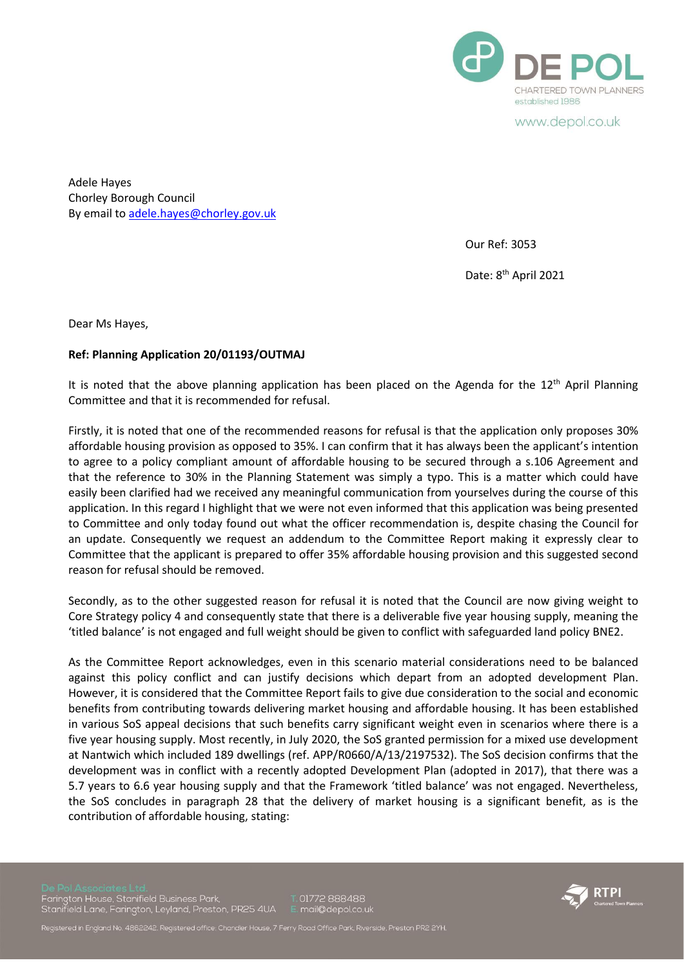

www.depol.co.uk

Adele Hayes Chorley Borough Council By email to [adele.hayes@chorley.gov.uk](mailto:adele.hayes@chorley.gov.uk)

Our Ref: 3053

Date: 8<sup>th</sup> April 2021

Dear Ms Hayes,

## **Ref: Planning Application 20/01193/OUTMAJ**

It is noted that the above planning application has been placed on the Agenda for the  $12<sup>th</sup>$  April Planning Committee and that it is recommended for refusal.

Firstly, it is noted that one of the recommended reasons for refusal is that the application only proposes 30% affordable housing provision as opposed to 35%. I can confirm that it has always been the applicant's intention to agree to a policy compliant amount of affordable housing to be secured through a s.106 Agreement and that the reference to 30% in the Planning Statement was simply a typo. This is a matter which could have easily been clarified had we received any meaningful communication from yourselves during the course of this application. In this regard I highlight that we were not even informed that this application was being presented to Committee and only today found out what the officer recommendation is, despite chasing the Council for an update. Consequently we request an addendum to the Committee Report making it expressly clear to Committee that the applicant is prepared to offer 35% affordable housing provision and this suggested second reason for refusal should be removed.

Secondly, as to the other suggested reason for refusal it is noted that the Council are now giving weight to Core Strategy policy 4 and consequently state that there is a deliverable five year housing supply, meaning the 'titled balance' is not engaged and full weight should be given to conflict with safeguarded land policy BNE2.

As the Committee Report acknowledges, even in this scenario material considerations need to be balanced against this policy conflict and can justify decisions which depart from an adopted development Plan. However, it is considered that the Committee Report fails to give due consideration to the social and economic benefits from contributing towards delivering market housing and affordable housing. It has been established in various SoS appeal decisions that such benefits carry significant weight even in scenarios where there is a five year housing supply. Most recently, in July 2020, the SoS granted permission for a mixed use development at Nantwich which included 189 dwellings (ref. APP/R0660/A/13/2197532). The SoS decision confirms that the development was in conflict with a recently adopted Development Plan (adopted in 2017), that there was a 5.7 years to 6.6 year housing supply and that the Framework 'titled balance' was not engaged. Nevertheless, the SoS concludes in paragraph 28 that the delivery of market housing is a significant benefit, as is the contribution of affordable housing, stating:

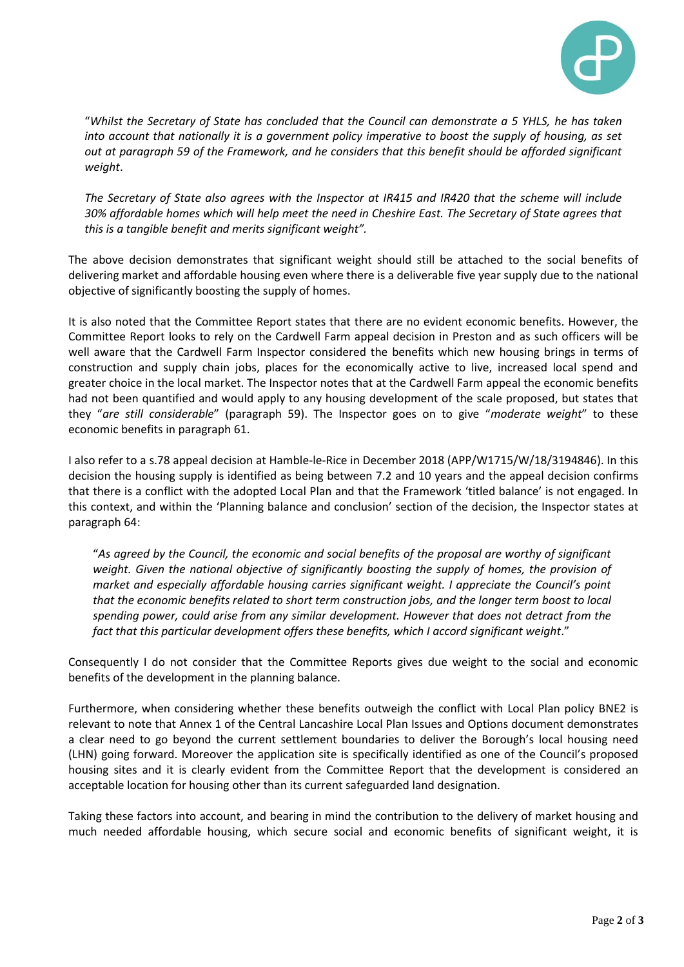

"*Whilst the Secretary of State has concluded that the Council can demonstrate a 5 YHLS, he has taken into account that nationally it is a government policy imperative to boost the supply of housing, as set out at paragraph 59 of the Framework, and he considers that this benefit should be afforded significant weight*.

*The Secretary of State also agrees with the Inspector at IR415 and IR420 that the scheme will include 30% affordable homes which will help meet the need in Cheshire East. The Secretary of State agrees that this is a tangible benefit and merits significant weight".*

The above decision demonstrates that significant weight should still be attached to the social benefits of delivering market and affordable housing even where there is a deliverable five year supply due to the national objective of significantly boosting the supply of homes.

It is also noted that the Committee Report states that there are no evident economic benefits. However, the Committee Report looks to rely on the Cardwell Farm appeal decision in Preston and as such officers will be well aware that the Cardwell Farm Inspector considered the benefits which new housing brings in terms of construction and supply chain jobs, places for the economically active to live, increased local spend and greater choice in the local market. The Inspector notes that at the Cardwell Farm appeal the economic benefits had not been quantified and would apply to any housing development of the scale proposed, but states that they "*are still considerable*" (paragraph 59). The Inspector goes on to give "*moderate weight*" to these economic benefits in paragraph 61.

I also refer to a s.78 appeal decision at Hamble-le-Rice in December 2018 (APP/W1715/W/18/3194846). In this decision the housing supply is identified as being between 7.2 and 10 years and the appeal decision confirms that there is a conflict with the adopted Local Plan and that the Framework 'titled balance' is not engaged. In this context, and within the 'Planning balance and conclusion' section of the decision, the Inspector states at paragraph 64:

"*As agreed by the Council, the economic and social benefits of the proposal are worthy of significant*  weight. Given the national objective of significantly boosting the supply of homes, the provision of *market and especially affordable housing carries significant weight. I appreciate the Council's point that the economic benefits related to short term construction jobs, and the longer term boost to local spending power, could arise from any similar development. However that does not detract from the fact that this particular development offers these benefits, which I accord significant weight*."

Consequently I do not consider that the Committee Reports gives due weight to the social and economic benefits of the development in the planning balance.

Furthermore, when considering whether these benefits outweigh the conflict with Local Plan policy BNE2 is relevant to note that Annex 1 of the Central Lancashire Local Plan Issues and Options document demonstrates a clear need to go beyond the current settlement boundaries to deliver the Borough's local housing need (LHN) going forward. Moreover the application site is specifically identified as one of the Council's proposed housing sites and it is clearly evident from the Committee Report that the development is considered an acceptable location for housing other than its current safeguarded land designation.

Taking these factors into account, and bearing in mind the contribution to the delivery of market housing and much needed affordable housing, which secure social and economic benefits of significant weight, it is